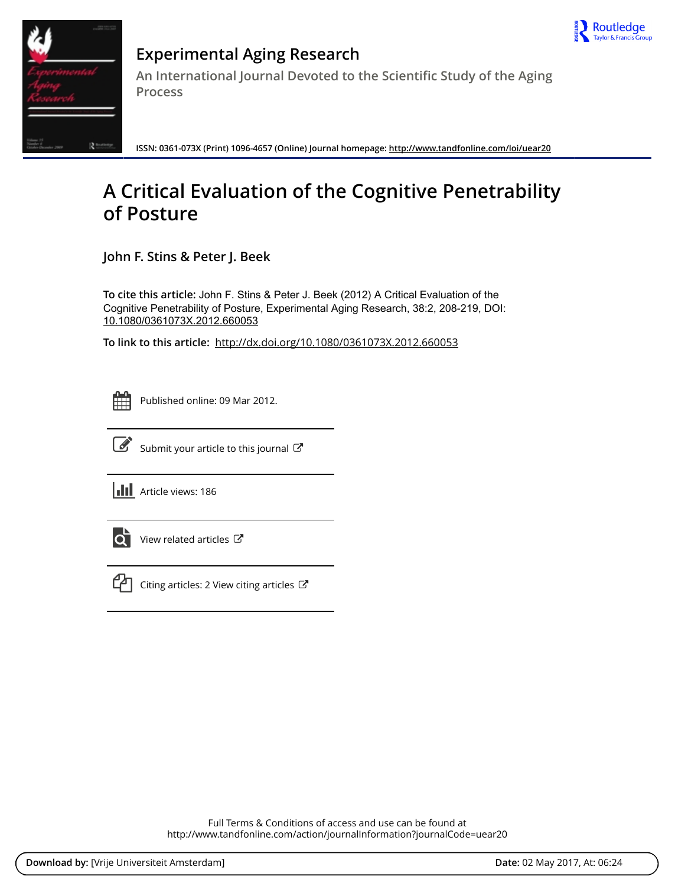



# **Experimental Aging Research**

**An International Journal Devoted to the Scientific Study of the Aging Process**

**ISSN: 0361-073X (Print) 1096-4657 (Online) Journal homepage: <http://www.tandfonline.com/loi/uear20>**

# **A Critical Evaluation of the Cognitive Penetrability of Posture**

**John F. Stins & Peter J. Beek**

**To cite this article:** John F. Stins & Peter J. Beek (2012) A Critical Evaluation of the Cognitive Penetrability of Posture, Experimental Aging Research, 38:2, 208-219, DOI: [10.1080/0361073X.2012.660053](http://www.tandfonline.com/action/showCitFormats?doi=10.1080/0361073X.2012.660053)

**To link to this article:** <http://dx.doi.org/10.1080/0361073X.2012.660053>

|  | - |  |
|--|---|--|
|  |   |  |
|  |   |  |
|  |   |  |

Published online: 09 Mar 2012.



 $\overrightarrow{S}$  [Submit your article to this journal](http://www.tandfonline.com/action/authorSubmission?journalCode=uear20&show=instructions)  $\overrightarrow{S}$ 

**III** Article views: 186



 $\overline{Q}$  [View related articles](http://www.tandfonline.com/doi/mlt/10.1080/0361073X.2012.660053)  $\overline{C}$ 



 $\Box$  [Citing articles: 2 View citing articles](http://www.tandfonline.com/doi/citedby/10.1080/0361073X.2012.660053#tabModule)  $\Box$ 

Full Terms & Conditions of access and use can be found at <http://www.tandfonline.com/action/journalInformation?journalCode=uear20>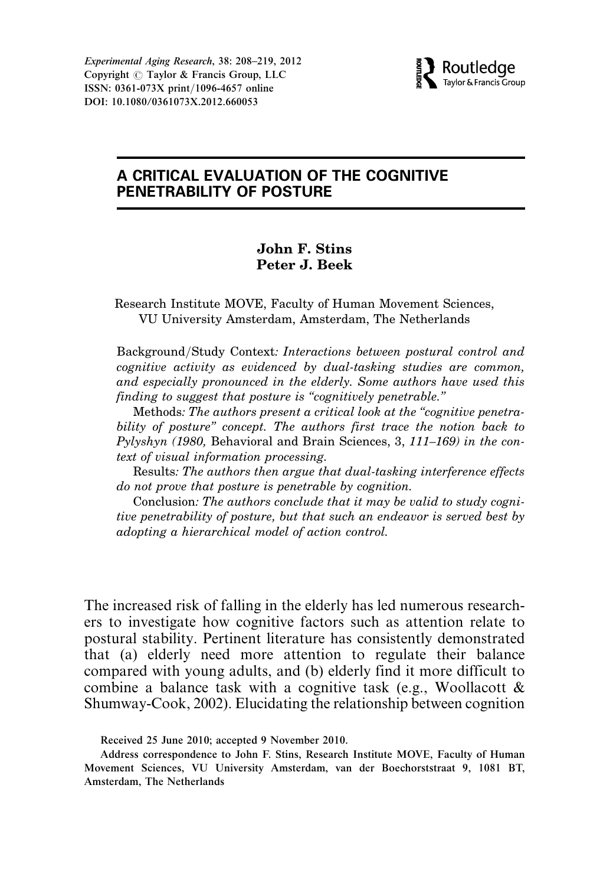

# A CRITICAL EVALUATION OF THE COGNITIVE PENETRABILITY OF POSTURE

### John F. Stins Peter J. Beek

Research Institute MOVE, Faculty of Human Movement Sciences, VU University Amsterdam, Amsterdam, The Netherlands

Background/Study Context: Interactions between postural control and cognitive activity as evidenced by dual-tasking studies are common, and especially pronounced in the elderly. Some authors have used this finding to suggest that posture is ''cognitively penetrable.''

Methods: The authors present a critical look at the "cognitive penetrability of posture'' concept. The authors first trace the notion back to Pylyshyn (1980, Behavioral and Brain Sciences, 3, 111–169) in the context of visual information processing.

Results: The authors then argue that dual-tasking interference effects do not prove that posture is penetrable by cognition.

Conclusion: The authors conclude that it may be valid to study cognitive penetrability of posture, but that such an endeavor is served best by adopting a hierarchical model of action control.

The increased risk of falling in the elderly has led numerous researchers to investigate how cognitive factors such as attention relate to postural stability. Pertinent literature has consistently demonstrated that (a) elderly need more attention to regulate their balance compared with young adults, and (b) elderly find it more difficult to combine a balance task with a cognitive task (e.g., Woollacott & Shumway-Cook, 2002). Elucidating the relationship between cognition

Received 25 June 2010; accepted 9 November 2010.

Address correspondence to John F. Stins, Research Institute MOVE, Faculty of Human Movement Sciences, VU University Amsterdam, van der Boechorststraat 9, 1081 BT, Amsterdam, The Netherlands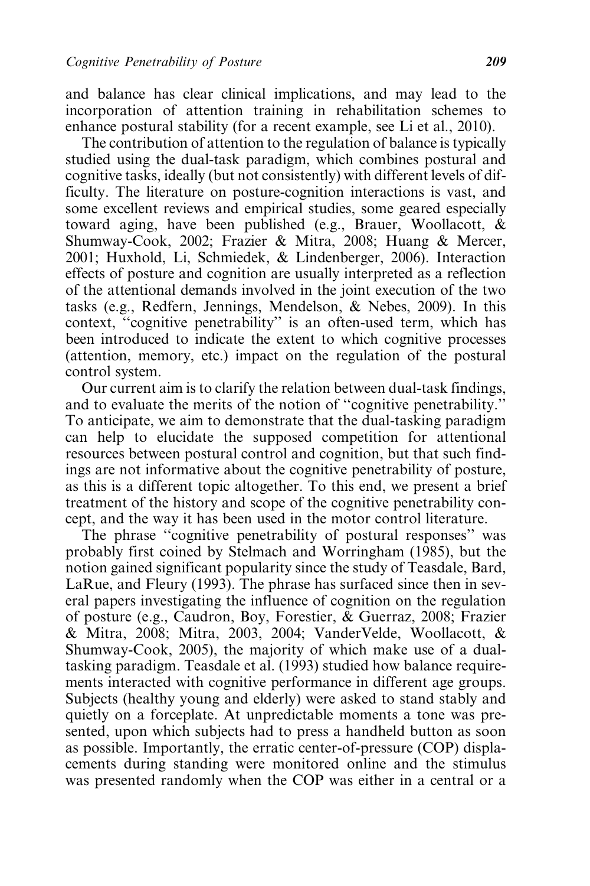and balance has clear clinical implications, and may lead to the incorporation of attention training in rehabilitation schemes to enhance postural stability (for a recent example, see Li et al., 2010).

The contribution of attention to the regulation of balance is typically studied using the dual-task paradigm, which combines postural and cognitive tasks, ideally (but not consistently) with different levels of difficulty. The literature on posture-cognition interactions is vast, and some excellent reviews and empirical studies, some geared especially toward aging, have been published (e.g., Brauer, Woollacott, & Shumway-Cook, 2002; Frazier & Mitra, 2008; Huang & Mercer, 2001; Huxhold, Li, Schmiedek, & Lindenberger, 2006). Interaction effects of posture and cognition are usually interpreted as a reflection of the attentional demands involved in the joint execution of the two tasks (e.g., Redfern, Jennings, Mendelson, & Nebes, 2009). In this context, ''cognitive penetrability'' is an often-used term, which has been introduced to indicate the extent to which cognitive processes (attention, memory, etc.) impact on the regulation of the postural control system.

Our current aim is to clarify the relation between dual-task findings, and to evaluate the merits of the notion of ''cognitive penetrability.'' To anticipate, we aim to demonstrate that the dual-tasking paradigm can help to elucidate the supposed competition for attentional resources between postural control and cognition, but that such findings are not informative about the cognitive penetrability of posture, as this is a different topic altogether. To this end, we present a brief treatment of the history and scope of the cognitive penetrability concept, and the way it has been used in the motor control literature.

The phrase ''cognitive penetrability of postural responses'' was probably first coined by Stelmach and Worringham (1985), but the notion gained significant popularity since the study of Teasdale, Bard, LaRue, and Fleury (1993). The phrase has surfaced since then in several papers investigating the influence of cognition on the regulation of posture (e.g., Caudron, Boy, Forestier, & Guerraz, 2008; Frazier & Mitra, 2008; Mitra, 2003, 2004; VanderVelde, Woollacott, & Shumway-Cook, 2005), the majority of which make use of a dualtasking paradigm. Teasdale et al. (1993) studied how balance requirements interacted with cognitive performance in different age groups. Subjects (healthy young and elderly) were asked to stand stably and quietly on a forceplate. At unpredictable moments a tone was presented, upon which subjects had to press a handheld button as soon as possible. Importantly, the erratic center-of-pressure (COP) displacements during standing were monitored online and the stimulus was presented randomly when the COP was either in a central or a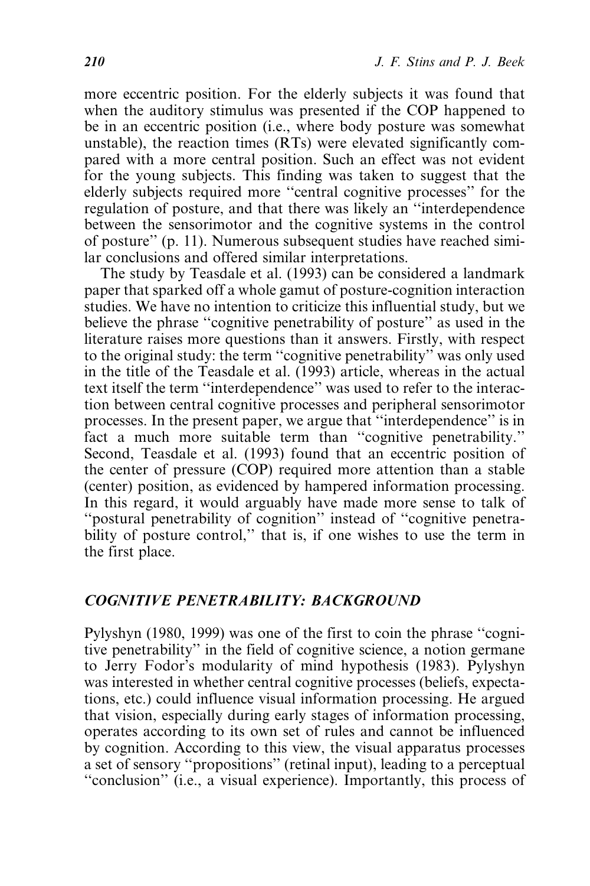more eccentric position. For the elderly subjects it was found that when the auditory stimulus was presented if the COP happened to be in an eccentric position (i.e., where body posture was somewhat unstable), the reaction times (RTs) were elevated significantly compared with a more central position. Such an effect was not evident for the young subjects. This finding was taken to suggest that the elderly subjects required more ''central cognitive processes'' for the regulation of posture, and that there was likely an ''interdependence between the sensorimotor and the cognitive systems in the control of posture'' (p. 11). Numerous subsequent studies have reached similar conclusions and offered similar interpretations.

The study by Teasdale et al. (1993) can be considered a landmark paper that sparked off a whole gamut of posture-cognition interaction studies. We have no intention to criticize this influential study, but we believe the phrase ''cognitive penetrability of posture'' as used in the literature raises more questions than it answers. Firstly, with respect to the original study: the term ''cognitive penetrability'' was only used in the title of the Teasdale et al. (1993) article, whereas in the actual text itself the term ''interdependence'' was used to refer to the interaction between central cognitive processes and peripheral sensorimotor processes. In the present paper, we argue that ''interdependence'' is in fact a much more suitable term than "cognitive penetrability." Second, Teasdale et al. (1993) found that an eccentric position of the center of pressure (COP) required more attention than a stable (center) position, as evidenced by hampered information processing. In this regard, it would arguably have made more sense to talk of ''postural penetrability of cognition'' instead of ''cognitive penetrability of posture control," that is, if one wishes to use the term in the first place.

#### COGNITIVE PENETRABILITY: BACKGROUND

Pylyshyn (1980, 1999) was one of the first to coin the phrase ''cognitive penetrability'' in the field of cognitive science, a notion germane to Jerry Fodor's modularity of mind hypothesis (1983). Pylyshyn was interested in whether central cognitive processes (beliefs, expectations, etc.) could influence visual information processing. He argued that vision, especially during early stages of information processing, operates according to its own set of rules and cannot be influenced by cognition. According to this view, the visual apparatus processes a set of sensory ''propositions'' (retinal input), leading to a perceptual ''conclusion'' (i.e., a visual experience). Importantly, this process of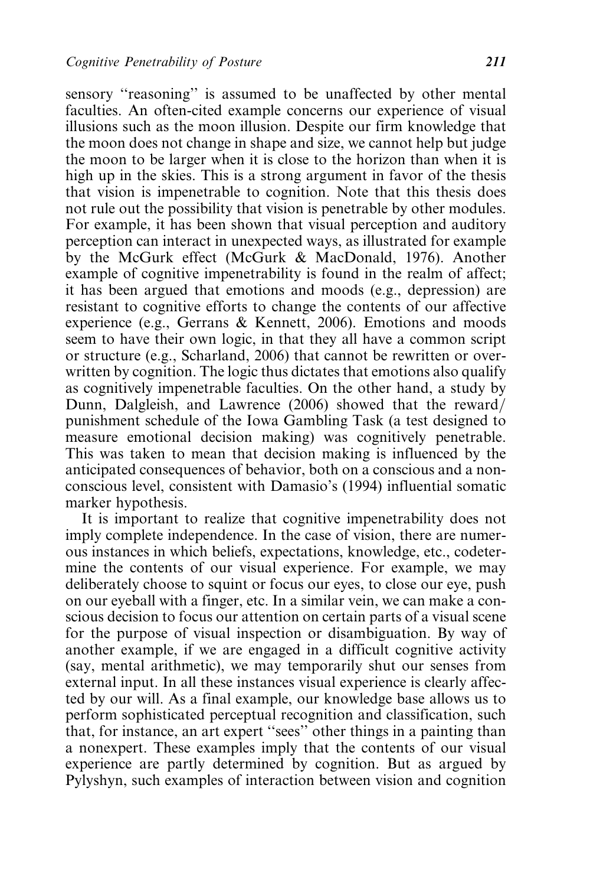sensory "reasoning" is assumed to be unaffected by other mental faculties. An often-cited example concerns our experience of visual illusions such as the moon illusion. Despite our firm knowledge that the moon does not change in shape and size, we cannot help but judge the moon to be larger when it is close to the horizon than when it is high up in the skies. This is a strong argument in favor of the thesis that vision is impenetrable to cognition. Note that this thesis does not rule out the possibility that vision is penetrable by other modules. For example, it has been shown that visual perception and auditory perception can interact in unexpected ways, as illustrated for example by the McGurk effect (McGurk & MacDonald, 1976). Another example of cognitive impenetrability is found in the realm of affect; it has been argued that emotions and moods (e.g., depression) are resistant to cognitive efforts to change the contents of our affective experience (e.g., Gerrans & Kennett, 2006). Emotions and moods seem to have their own logic, in that they all have a common script or structure (e.g., Scharland, 2006) that cannot be rewritten or overwritten by cognition. The logic thus dictates that emotions also qualify as cognitively impenetrable faculties. On the other hand, a study by Dunn, Dalgleish, and Lawrence (2006) showed that the reward/ punishment schedule of the Iowa Gambling Task (a test designed to measure emotional decision making) was cognitively penetrable. This was taken to mean that decision making is influenced by the anticipated consequences of behavior, both on a conscious and a nonconscious level, consistent with Damasio's (1994) influential somatic marker hypothesis.

It is important to realize that cognitive impenetrability does not imply complete independence. In the case of vision, there are numerous instances in which beliefs, expectations, knowledge, etc., codetermine the contents of our visual experience. For example, we may deliberately choose to squint or focus our eyes, to close our eye, push on our eyeball with a finger, etc. In a similar vein, we can make a conscious decision to focus our attention on certain parts of a visual scene for the purpose of visual inspection or disambiguation. By way of another example, if we are engaged in a difficult cognitive activity (say, mental arithmetic), we may temporarily shut our senses from external input. In all these instances visual experience is clearly affected by our will. As a final example, our knowledge base allows us to perform sophisticated perceptual recognition and classification, such that, for instance, an art expert ''sees'' other things in a painting than a nonexpert. These examples imply that the contents of our visual experience are partly determined by cognition. But as argued by Pylyshyn, such examples of interaction between vision and cognition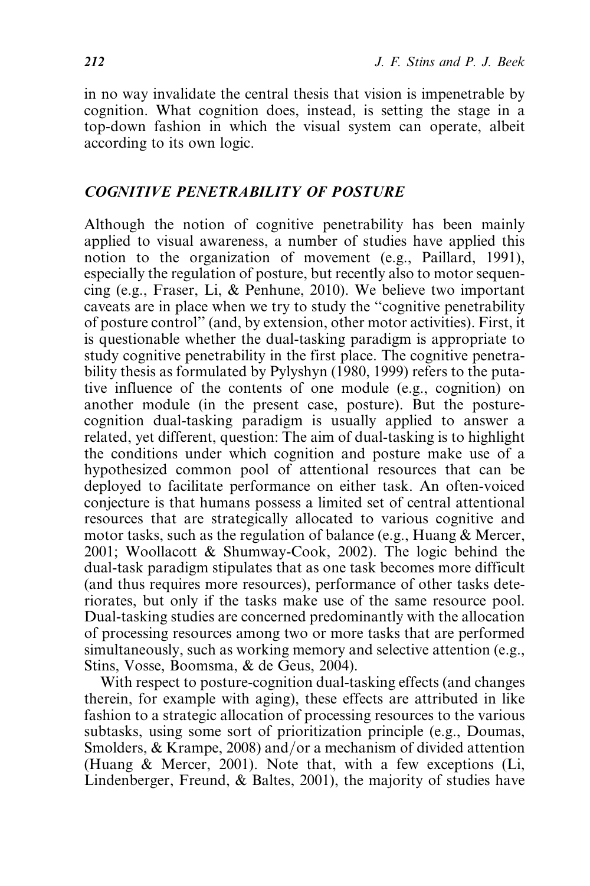in no way invalidate the central thesis that vision is impenetrable by cognition. What cognition does, instead, is setting the stage in a top-down fashion in which the visual system can operate, albeit according to its own logic.

## COGNITIVE PENETRABILITY OF POSTURE

Although the notion of cognitive penetrability has been mainly applied to visual awareness, a number of studies have applied this notion to the organization of movement (e.g., Paillard, 1991), especially the regulation of posture, but recently also to motor sequencing (e.g., Fraser, Li, & Penhune, 2010). We believe two important caveats are in place when we try to study the ''cognitive penetrability of posture control'' (and, by extension, other motor activities). First, it is questionable whether the dual-tasking paradigm is appropriate to study cognitive penetrability in the first place. The cognitive penetrability thesis as formulated by Pylyshyn (1980, 1999) refers to the putative influence of the contents of one module (e.g., cognition) on another module (in the present case, posture). But the posturecognition dual-tasking paradigm is usually applied to answer a related, yet different, question: The aim of dual-tasking is to highlight the conditions under which cognition and posture make use of a hypothesized common pool of attentional resources that can be deployed to facilitate performance on either task. An often-voiced conjecture is that humans possess a limited set of central attentional resources that are strategically allocated to various cognitive and motor tasks, such as the regulation of balance (e.g., Huang & Mercer, 2001; Woollacott & Shumway-Cook, 2002). The logic behind the dual-task paradigm stipulates that as one task becomes more difficult (and thus requires more resources), performance of other tasks deteriorates, but only if the tasks make use of the same resource pool. Dual-tasking studies are concerned predominantly with the allocation of processing resources among two or more tasks that are performed simultaneously, such as working memory and selective attention (e.g., Stins, Vosse, Boomsma, & de Geus, 2004).

With respect to posture-cognition dual-tasking effects (and changes therein, for example with aging), these effects are attributed in like fashion to a strategic allocation of processing resources to the various subtasks, using some sort of prioritization principle (e.g., Doumas, Smolders,  $&$  Krampe, 2008) and/or a mechanism of divided attention (Huang & Mercer, 2001). Note that, with a few exceptions (Li, Lindenberger, Freund, & Baltes, 2001), the majority of studies have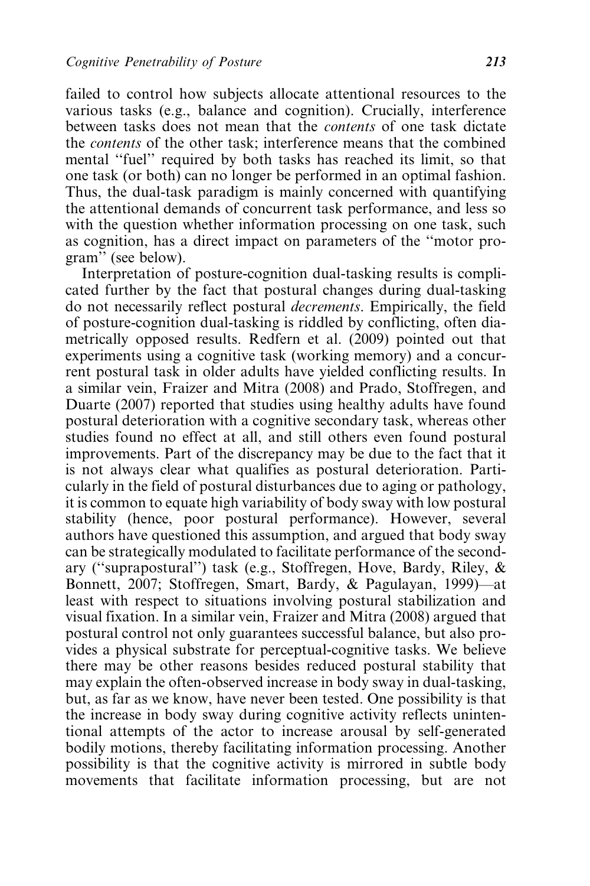failed to control how subjects allocate attentional resources to the various tasks (e.g., balance and cognition). Crucially, interference between tasks does not mean that the contents of one task dictate the contents of the other task; interference means that the combined mental "fuel" required by both tasks has reached its limit, so that one task (or both) can no longer be performed in an optimal fashion. Thus, the dual-task paradigm is mainly concerned with quantifying the attentional demands of concurrent task performance, and less so with the question whether information processing on one task, such as cognition, has a direct impact on parameters of the ''motor program'' (see below).

Interpretation of posture-cognition dual-tasking results is complicated further by the fact that postural changes during dual-tasking do not necessarily reflect postural decrements. Empirically, the field of posture-cognition dual-tasking is riddled by conflicting, often diametrically opposed results. Redfern et al. (2009) pointed out that experiments using a cognitive task (working memory) and a concurrent postural task in older adults have yielded conflicting results. In a similar vein, Fraizer and Mitra (2008) and Prado, Stoffregen, and Duarte (2007) reported that studies using healthy adults have found postural deterioration with a cognitive secondary task, whereas other studies found no effect at all, and still others even found postural improvements. Part of the discrepancy may be due to the fact that it is not always clear what qualifies as postural deterioration. Particularly in the field of postural disturbances due to aging or pathology, it is common to equate high variability of body sway with low postural stability (hence, poor postural performance). However, several authors have questioned this assumption, and argued that body sway can be strategically modulated to facilitate performance of the secondary (''suprapostural'') task (e.g., Stoffregen, Hove, Bardy, Riley, & Bonnett, 2007; Stoffregen, Smart, Bardy, & Pagulayan, 1999)—at least with respect to situations involving postural stabilization and visual fixation. In a similar vein, Fraizer and Mitra (2008) argued that postural control not only guarantees successful balance, but also provides a physical substrate for perceptual-cognitive tasks. We believe there may be other reasons besides reduced postural stability that may explain the often-observed increase in body sway in dual-tasking, but, as far as we know, have never been tested. One possibility is that the increase in body sway during cognitive activity reflects unintentional attempts of the actor to increase arousal by self-generated bodily motions, thereby facilitating information processing. Another possibility is that the cognitive activity is mirrored in subtle body movements that facilitate information processing, but are not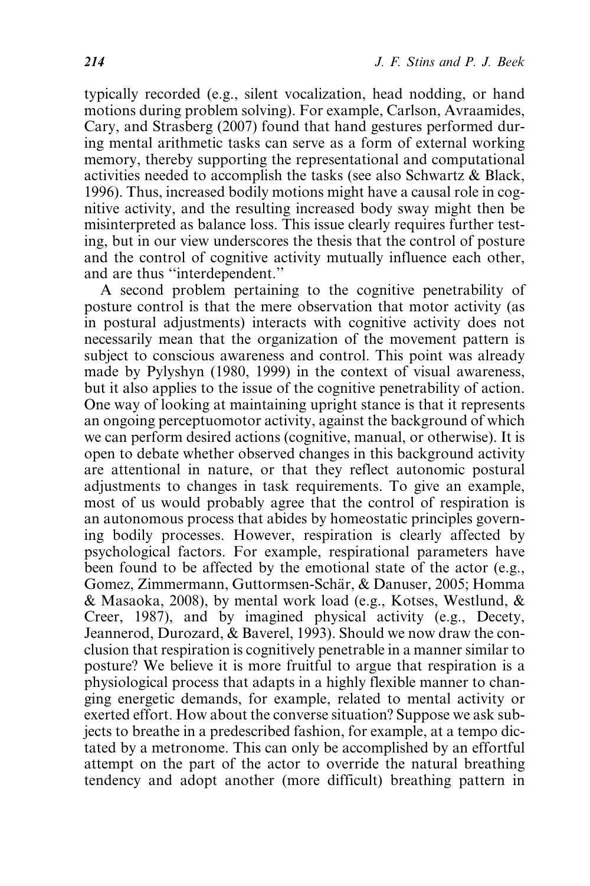typically recorded (e.g., silent vocalization, head nodding, or hand motions during problem solving). For example, Carlson, Avraamides, Cary, and Strasberg (2007) found that hand gestures performed during mental arithmetic tasks can serve as a form of external working memory, thereby supporting the representational and computational activities needed to accomplish the tasks (see also Schwartz & Black, 1996). Thus, increased bodily motions might have a causal role in cognitive activity, and the resulting increased body sway might then be misinterpreted as balance loss. This issue clearly requires further testing, but in our view underscores the thesis that the control of posture and the control of cognitive activity mutually influence each other, and are thus ''interdependent.''

A second problem pertaining to the cognitive penetrability of posture control is that the mere observation that motor activity (as in postural adjustments) interacts with cognitive activity does not necessarily mean that the organization of the movement pattern is subject to conscious awareness and control. This point was already made by Pylyshyn (1980, 1999) in the context of visual awareness, but it also applies to the issue of the cognitive penetrability of action. One way of looking at maintaining upright stance is that it represents an ongoing perceptuomotor activity, against the background of which we can perform desired actions (cognitive, manual, or otherwise). It is open to debate whether observed changes in this background activity are attentional in nature, or that they reflect autonomic postural adjustments to changes in task requirements. To give an example, most of us would probably agree that the control of respiration is an autonomous process that abides by homeostatic principles governing bodily processes. However, respiration is clearly affected by psychological factors. For example, respirational parameters have been found to be affected by the emotional state of the actor (e.g., Gomez, Zimmermann, Guttormsen-Schär, & Danuser, 2005; Homma & Masaoka, 2008), by mental work load (e.g., Kotses, Westlund, & Creer, 1987), and by imagined physical activity (e.g., Decety, Jeannerod, Durozard, & Baverel, 1993). Should we now draw the conclusion that respiration is cognitively penetrable in a manner similar to posture? We believe it is more fruitful to argue that respiration is a physiological process that adapts in a highly flexible manner to changing energetic demands, for example, related to mental activity or exerted effort. How about the converse situation? Suppose we ask subjects to breathe in a predescribed fashion, for example, at a tempo dictated by a metronome. This can only be accomplished by an effortful attempt on the part of the actor to override the natural breathing tendency and adopt another (more difficult) breathing pattern in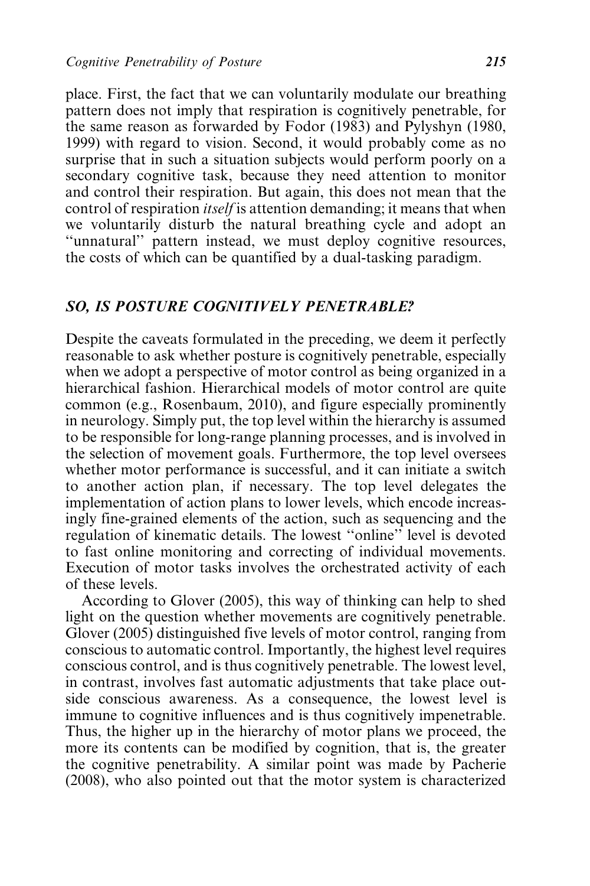place. First, the fact that we can voluntarily modulate our breathing pattern does not imply that respiration is cognitively penetrable, for the same reason as forwarded by Fodor (1983) and Pylyshyn (1980, 1999) with regard to vision. Second, it would probably come as no surprise that in such a situation subjects would perform poorly on a secondary cognitive task, because they need attention to monitor and control their respiration. But again, this does not mean that the control of respiration *itself* is attention demanding; it means that when we voluntarily disturb the natural breathing cycle and adopt an ''unnatural'' pattern instead, we must deploy cognitive resources, the costs of which can be quantified by a dual-tasking paradigm.

#### SO, IS POSTURE COGNITIVELY PENETRABLE?

Despite the caveats formulated in the preceding, we deem it perfectly reasonable to ask whether posture is cognitively penetrable, especially when we adopt a perspective of motor control as being organized in a hierarchical fashion. Hierarchical models of motor control are quite common (e.g., Rosenbaum, 2010), and figure especially prominently in neurology. Simply put, the top level within the hierarchy is assumed to be responsible for long-range planning processes, and is involved in the selection of movement goals. Furthermore, the top level oversees whether motor performance is successful, and it can initiate a switch to another action plan, if necessary. The top level delegates the implementation of action plans to lower levels, which encode increasingly fine-grained elements of the action, such as sequencing and the regulation of kinematic details. The lowest ''online'' level is devoted to fast online monitoring and correcting of individual movements. Execution of motor tasks involves the orchestrated activity of each of these levels.

According to Glover (2005), this way of thinking can help to shed light on the question whether movements are cognitively penetrable. Glover (2005) distinguished five levels of motor control, ranging from conscious to automatic control. Importantly, the highest level requires conscious control, and is thus cognitively penetrable. The lowest level, in contrast, involves fast automatic adjustments that take place outside conscious awareness. As a consequence, the lowest level is immune to cognitive influences and is thus cognitively impenetrable. Thus, the higher up in the hierarchy of motor plans we proceed, the more its contents can be modified by cognition, that is, the greater the cognitive penetrability. A similar point was made by Pacherie (2008), who also pointed out that the motor system is characterized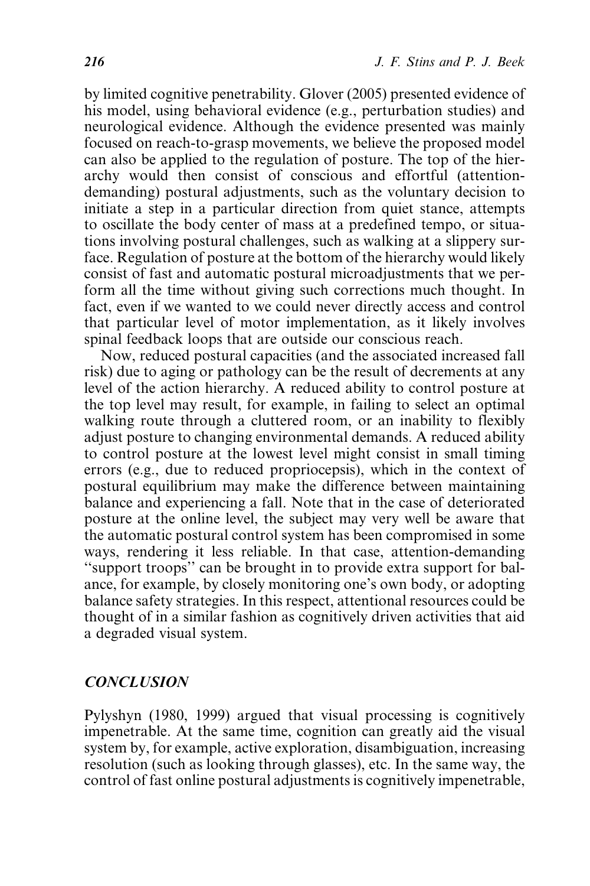by limited cognitive penetrability. Glover (2005) presented evidence of his model, using behavioral evidence (e.g., perturbation studies) and neurological evidence. Although the evidence presented was mainly focused on reach-to-grasp movements, we believe the proposed model can also be applied to the regulation of posture. The top of the hierarchy would then consist of conscious and effortful (attentiondemanding) postural adjustments, such as the voluntary decision to initiate a step in a particular direction from quiet stance, attempts to oscillate the body center of mass at a predefined tempo, or situations involving postural challenges, such as walking at a slippery surface. Regulation of posture at the bottom of the hierarchy would likely consist of fast and automatic postural microadjustments that we perform all the time without giving such corrections much thought. In fact, even if we wanted to we could never directly access and control that particular level of motor implementation, as it likely involves spinal feedback loops that are outside our conscious reach.

Now, reduced postural capacities (and the associated increased fall risk) due to aging or pathology can be the result of decrements at any level of the action hierarchy. A reduced ability to control posture at the top level may result, for example, in failing to select an optimal walking route through a cluttered room, or an inability to flexibly adjust posture to changing environmental demands. A reduced ability to control posture at the lowest level might consist in small timing errors (e.g., due to reduced propriocepsis), which in the context of postural equilibrium may make the difference between maintaining balance and experiencing a fall. Note that in the case of deteriorated posture at the online level, the subject may very well be aware that the automatic postural control system has been compromised in some ways, rendering it less reliable. In that case, attention-demanding ''support troops'' can be brought in to provide extra support for balance, for example, by closely monitoring one's own body, or adopting balance safety strategies. In this respect, attentional resources could be thought of in a similar fashion as cognitively driven activities that aid a degraded visual system.

#### **CONCLUSION**

Pylyshyn (1980, 1999) argued that visual processing is cognitively impenetrable. At the same time, cognition can greatly aid the visual system by, for example, active exploration, disambiguation, increasing resolution (such as looking through glasses), etc. In the same way, the control of fast online postural adjustments is cognitively impenetrable,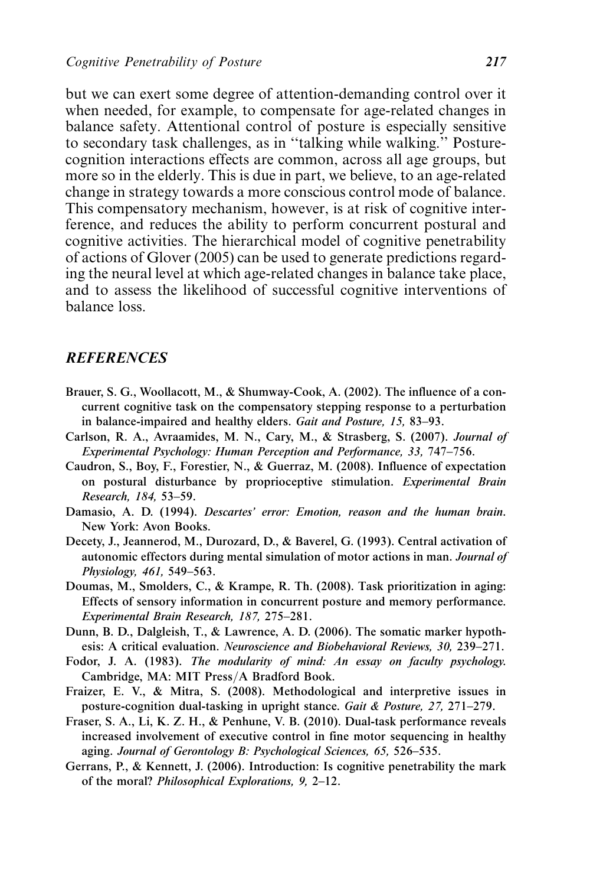but we can exert some degree of attention-demanding control over it when needed, for example, to compensate for age-related changes in balance safety. Attentional control of posture is especially sensitive to secondary task challenges, as in ''talking while walking.'' Posturecognition interactions effects are common, across all age groups, but more so in the elderly. This is due in part, we believe, to an age-related change in strategy towards a more conscious control mode of balance. This compensatory mechanism, however, is at risk of cognitive interference, and reduces the ability to perform concurrent postural and cognitive activities. The hierarchical model of cognitive penetrability of actions of Glover (2005) can be used to generate predictions regarding the neural level at which age-related changes in balance take place, and to assess the likelihood of successful cognitive interventions of balance loss.

#### **REFERENCES**

- Brauer, S. G., Woollacott, M., & Shumway-Cook, A. (2002). The influence of a concurrent cognitive task on the compensatory stepping response to a perturbation in balance-impaired and healthy elders. Gait and Posture, 15, 83–93.
- Carlson, R. A., Avraamides, M. N., Cary, M., & Strasberg, S. (2007). Journal of Experimental Psychology: Human Perception and Performance, 33, 747–756.
- Caudron, S., Boy, F., Forestier, N., & Guerraz, M. (2008). Influence of expectation on postural disturbance by proprioceptive stimulation. Experimental Brain Research, 184, 53–59.
- Damasio, A. D. (1994). Descartes' error: Emotion, reason and the human brain. New York: Avon Books.
- Decety, J., Jeannerod, M., Durozard, D., & Baverel, G. (1993). Central activation of autonomic effectors during mental simulation of motor actions in man. Journal of Physiology, 461, 549–563.
- Doumas, M., Smolders, C., & Krampe, R. Th. (2008). Task prioritization in aging: Effects of sensory information in concurrent posture and memory performance. Experimental Brain Research, 187, 275–281.
- Dunn, B. D., Dalgleish, T., & Lawrence, A. D. (2006). The somatic marker hypothesis: A critical evaluation. Neuroscience and Biobehavioral Reviews, 30, 239–271.
- Fodor, J. A. (1983). The modularity of mind: An essay on faculty psychology. Cambridge, MA: MIT Press/A Bradford Book.
- Fraizer, E. V., & Mitra, S. (2008). Methodological and interpretive issues in posture-cognition dual-tasking in upright stance. Gait & Posture, 27, 271–279.
- Fraser, S. A., Li, K. Z. H., & Penhune, V. B. (2010). Dual-task performance reveals increased involvement of executive control in fine motor sequencing in healthy aging. Journal of Gerontology B: Psychological Sciences, 65, 526–535.
- Gerrans, P., & Kennett, J. (2006). Introduction: Is cognitive penetrability the mark of the moral? Philosophical Explorations, 9, 2–12.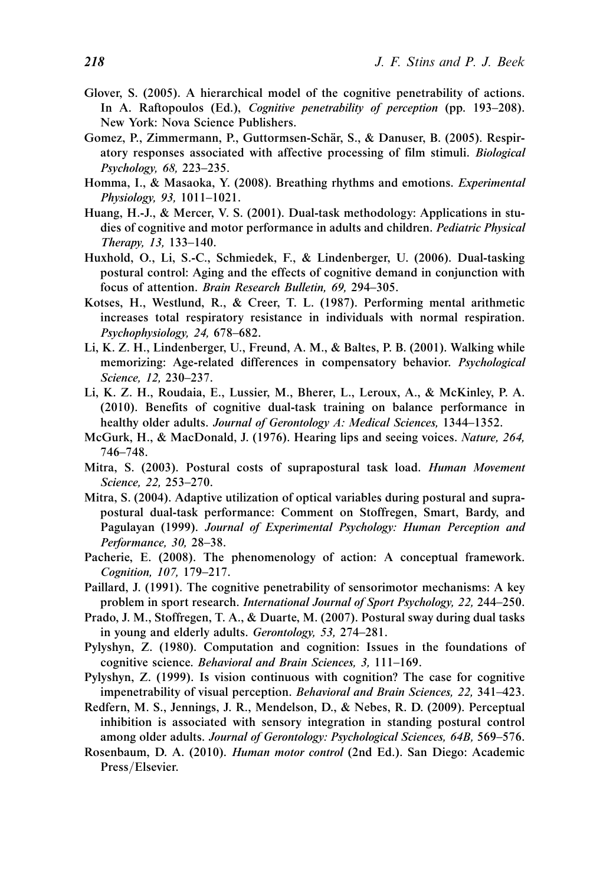- Glover, S. (2005). A hierarchical model of the cognitive penetrability of actions. In A. Raftopoulos (Ed.), Cognitive penetrability of perception (pp. 193–208). New York: Nova Science Publishers.
- Gomez, P., Zimmermann, P., Guttormsen-Schär, S., & Danuser, B. (2005). Respiratory responses associated with affective processing of film stimuli. Biological Psychology, 68, 223–235.
- Homma, I., & Masaoka, Y. (2008). Breathing rhythms and emotions. *Experimental* Physiology, 93, 1011–1021.
- Huang, H.-J., & Mercer, V. S. (2001). Dual-task methodology: Applications in studies of cognitive and motor performance in adults and children. Pediatric Physical Therapy, 13, 133–140.
- Huxhold, O., Li, S.-C., Schmiedek, F., & Lindenberger, U. (2006). Dual-tasking postural control: Aging and the effects of cognitive demand in conjunction with focus of attention. Brain Research Bulletin, 69, 294–305.
- Kotses, H., Westlund, R., & Creer, T. L. (1987). Performing mental arithmetic increases total respiratory resistance in individuals with normal respiration. Psychophysiology, 24, 678–682.
- Li, K. Z. H., Lindenberger, U., Freund, A. M., & Baltes, P. B. (2001). Walking while memorizing: Age-related differences in compensatory behavior. Psychological Science, 12, 230–237.
- Li, K. Z. H., Roudaia, E., Lussier, M., Bherer, L., Leroux, A., & McKinley, P. A. (2010). Benefits of cognitive dual-task training on balance performance in healthy older adults. Journal of Gerontology A: Medical Sciences, 1344-1352.
- McGurk, H., & MacDonald, J. (1976). Hearing lips and seeing voices. Nature, 264, 746–748.
- Mitra, S. (2003). Postural costs of suprapostural task load. Human Movement Science, 22, 253–270.
- Mitra, S. (2004). Adaptive utilization of optical variables during postural and suprapostural dual-task performance: Comment on Stoffregen, Smart, Bardy, and Pagulayan (1999). Journal of Experimental Psychology: Human Perception and Performance, 30, 28–38.
- Pacherie, E. (2008). The phenomenology of action: A conceptual framework. Cognition, 107, 179–217.
- Paillard, J. (1991). The cognitive penetrability of sensorimotor mechanisms: A key problem in sport research. International Journal of Sport Psychology, 22, 244–250.
- Prado, J. M., Stoffregen, T. A., & Duarte, M. (2007). Postural sway during dual tasks in young and elderly adults. Gerontology, 53, 274–281.
- Pylyshyn, Z. (1980). Computation and cognition: Issues in the foundations of cognitive science. Behavioral and Brain Sciences, 3, 111–169.
- Pylyshyn, Z. (1999). Is vision continuous with cognition? The case for cognitive impenetrability of visual perception. Behavioral and Brain Sciences, 22, 341–423.
- Redfern, M. S., Jennings, J. R., Mendelson, D., & Nebes, R. D. (2009). Perceptual inhibition is associated with sensory integration in standing postural control among older adults. Journal of Gerontology: Psychological Sciences, 64B, 569–576.
- Rosenbaum, D. A. (2010). *Human motor control* (2nd Ed.). San Diego: Academic Press/Elsevier.